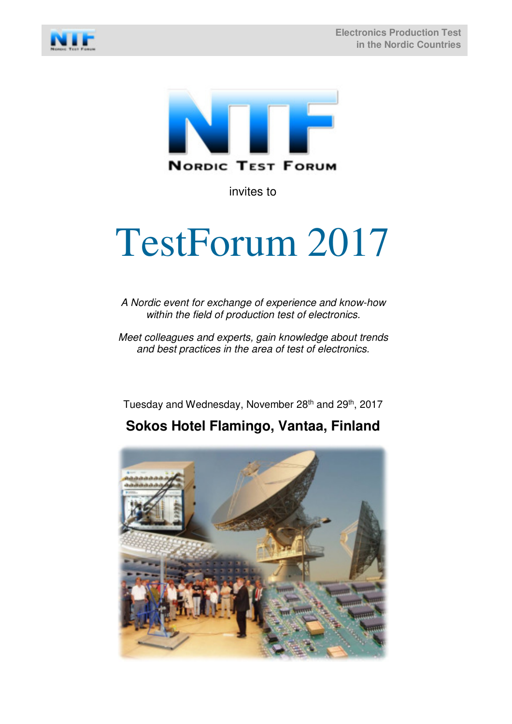



invites to

# TestForum 2017

A Nordic event for exchange of experience and know-how within the field of production test of electronics.

Meet colleagues and experts, gain knowledge about trends and best practices in the area of test of electronics.

Tuesday and Wednesday, November 28<sup>th</sup> and 29<sup>th</sup>, 2017

# **Sokos Hotel Flamingo, Vantaa, Finland**

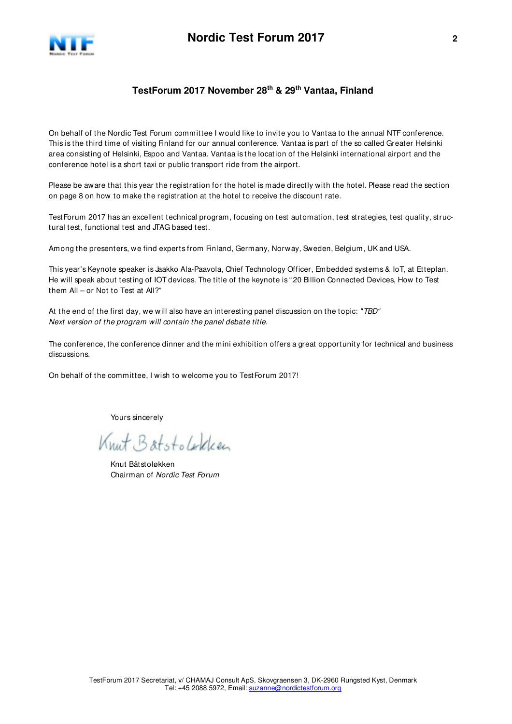

# **TestForum 2017 November 28th & 29th Vantaa, Finland**

On behalf of the Nordic Test Forum committee I would like to invite you to Vantaa to the annual NTF conference. This is the third time of visiting Finland for our annual conference. Vantaa is part of the so called Greater Helsinki area consisting of Helsinki, Espoo and Vantaa. Vantaa is the location of the Helsinki international airport and the conference hotel is a short taxi or public transport ride from the airport.

Please be aware that this year the registration for the hotel is made directly with the hotel. Please read the section on page 8 on how to make the registration at the hotel to receive the discount rate.

TestForum 2017 has an excellent technical program, focusing on test automation, test strategies, test quality, structural test, functional test and JTAG based test.

Among the presenters, we find experts from Finland, Germany, Norway, Sweden, Belgium, UK and USA.

This year's Keynote speaker is Jaakko Ala-Paavola, Chief Technology Officer, Embedded systems & IoT, at Etteplan. He will speak about testing of IOT devices. The title of the keynote is " 20 Billion Connected Devices, How to Test them All – or Not to Test at All?"

At the end of the first day, we will also have an interesting panel discussion on the topic: "TBD" Next version of the program will contain the panel debate title.

The conference, the conference dinner and the mini exhibition offers a great opportunity for technical and business discussions.

On behalf of the committee, I wish to welcome you to TestForum 2017!

Yours sincerely

Knut Batstolokken

 Knut Båtstoløkken Chairman of Nordic Test Forum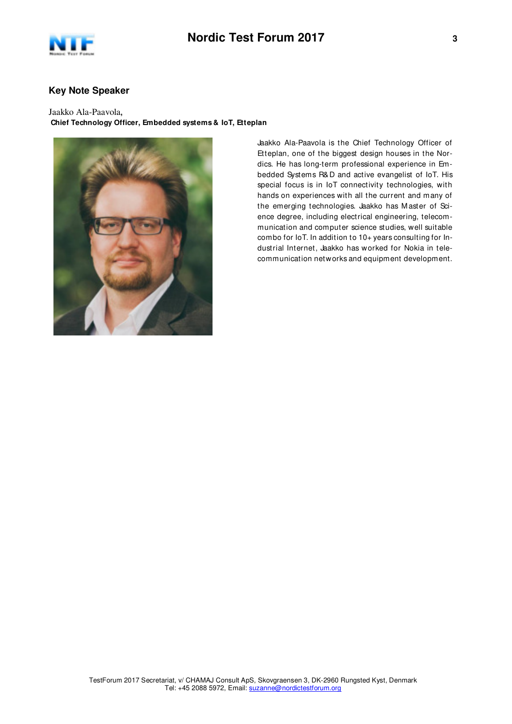

# **Nordic Test Forum 2017** 3

#### **Key Note Speaker**

Jaakko Ala-Paavola**, Chief Technology Officer, Embedded systems & IoT, Etteplan** 



Jaakko Ala-Paavola is the Chief Technology Officer of Etteplan, one of the biggest design houses in the Nordics. He has long-term professional experience in Embedded Systems R&D and active evangelist of IoT. His special focus is in IoT connectivity technologies, with hands on experiences with all the current and many of the emerging technologies. Jaakko has Master of Science degree, including electrical engineering, telecommunication and computer science studies, well suitable combo for IoT. In addition to 10+ years consulting for Industrial Internet, Jaakko has worked for Nokia in telecommunication networks and equipment development.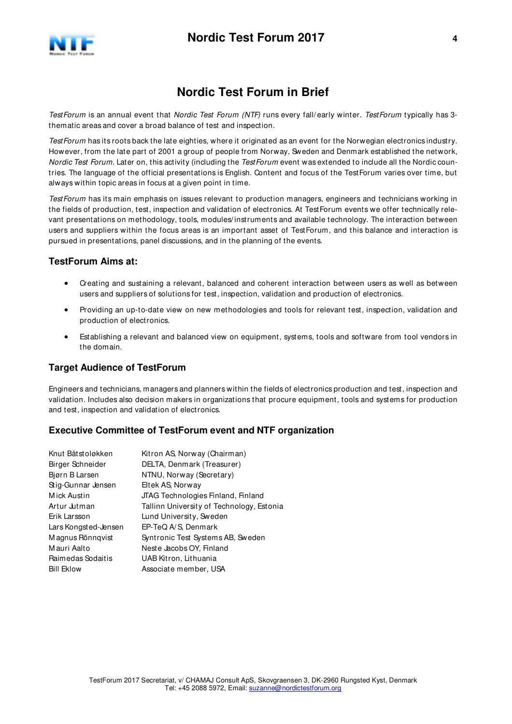

# **Nordic Test Forum in Brief**

Test Forum is an annual event that Nordic Test Forum (NTF) runs every fall/ early winter. Test Forum typically has 3thematic areas and cover a broad balance of test and inspection.

Test Forum has its roots back the late eighties, where it originated as an event for the Norwegian electronics industry. However, from the late part of 2001 a group of people from Norway, Sweden and Denmark established the network, Nordic Test Forum. Later on, this activity (including the TestForum event was extended to include all the Nordic countries. The language of the official presentations is English. Content and focus of the TestForum varies over time, but always within topic areas in focus at a given point in time.

Test Forum has its main emphasis on issues relevant to production managers, engineers and technicians working in the fields of production, test, inspection and validation of electronics. At TestForum events we offer technically relevant presentations on methodology, tools, modules/ instruments and available technology. The interaction between users and suppliers within the focus areas is an important asset of TestForum, and this balance and interaction is pursued in presentations, panel discussions, and in the planning of the events.

#### **TestForum Aims at:**

- Creating and sustaining a relevant, balanced and coherent interaction between users as well as between users and suppliers of solutions for test, inspection, validation and production of electronics.
- Providing an up-to-date view on new methodologies and tools for relevant test, inspection, validation and production of electronics.
- Establishing a relevant and balanced view on equipment, systems, tools and software from tool vendors in the domain.

#### **Target Audience of TestForum**

Engineers and technicians, managers and planners within the fields of electronics production and test, inspection and validation. Includes also decision makers in organizations that procure equipment, tools and systems for production and test, inspection and validation of electronics.

#### **Executive Committee of TestForum event and NTF organization**

| Kitron AS, Norway (Chairman)              |
|-------------------------------------------|
| DELTA, Denmark (Treasurer)                |
| NTNU, Norway (Secretary)                  |
| Eltek AS, Norway                          |
| JTAG Technologies Finland, Finland        |
| Tallinn University of Technology, Estonia |
| Lund University, Sweden                   |
| EP-TeQ A/S, Denmark                       |
| Syntronic Test Systems AB, Sweden         |
| Neste Jacobs OY, Finland                  |
| UAB Kitron, Lithuania                     |
| Associate member, USA                     |
|                                           |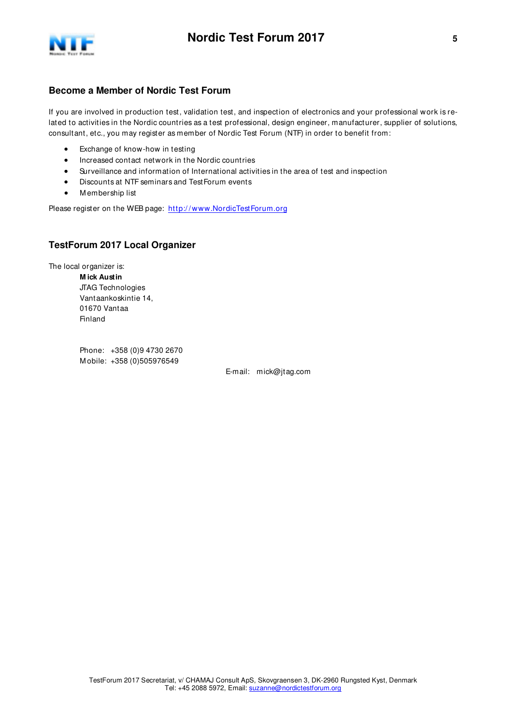

### **Become a Member of Nordic Test Forum**

If you are involved in production test, validation test, and inspection of electronics and your professional work is related to activities in the Nordic countries as a test professional, design engineer, manufacturer, supplier of solutions, consultant, etc., you may register as member of Nordic Test Forum (NTF) in order to benefit from:

- Exchange of know-how in testing
- Increased contact network in the Nordic countries
- Surveillance and information of International activities in the area of test and inspection
- Discounts at NTF seminars and TestForum events
- Membership list

Please register on the WEB page: http://www.NordicTestForum.org

#### **TestForum 2017 Local Organizer**

The local organizer is:

**M ick Austin**  JTAG Technologies Vantaankoskintie 14, 01670 Vantaa Finland

Phone: +358 (0)9 4730 2670 M obile: +358 (0)505976549

E-mail: [mick@jtag.com](mailto:mick@jtag.com)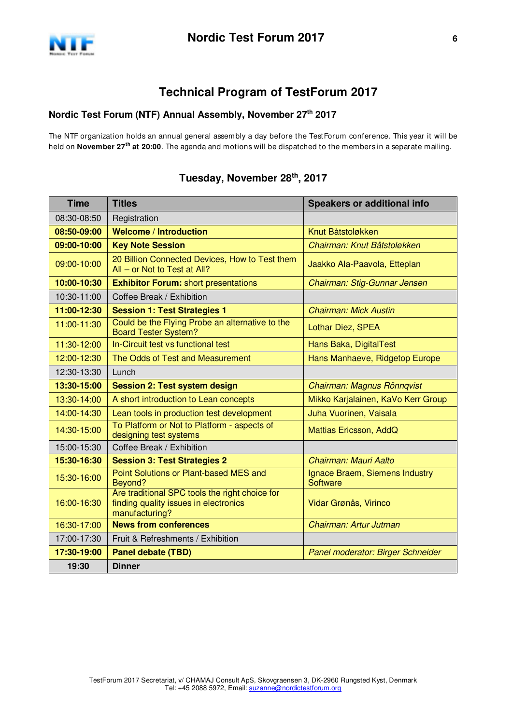

# **Technical Program of TestForum 2017**

## **Nordic Test Forum (NTF) Annual Assembly, November 27 th 2017**

The NTF organization holds an annual general assembly a day before the TestForum conference. This year it will be held on **November 27th at 20:00**. The agenda and motions will be dispatched to the members in a separate mailing.

| <b>Time</b> | <b>Titles</b>                                                                                             | <b>Speakers or additional info</b>                |  |
|-------------|-----------------------------------------------------------------------------------------------------------|---------------------------------------------------|--|
| 08:30-08:50 | Registration                                                                                              |                                                   |  |
| 08:50-09:00 | <b>Welcome / Introduction</b>                                                                             | Knut Båtstoløkken                                 |  |
| 09:00-10:00 | <b>Key Note Session</b>                                                                                   | Chairman: Knut Båtstoløkken                       |  |
| 09:00-10:00 | 20 Billion Connected Devices, How to Test them<br>All - or Not to Test at All?                            | Jaakko Ala-Paavola, Etteplan                      |  |
| 10:00-10:30 | <b>Exhibitor Forum: short presentations</b>                                                               | Chairman: Stig-Gunnar Jensen                      |  |
| 10:30-11:00 | Coffee Break / Exhibition                                                                                 |                                                   |  |
| 11:00-12:30 | <b>Session 1: Test Strategies 1</b>                                                                       | <b>Chairman: Mick Austin</b>                      |  |
| 11:00-11:30 | Could be the Flying Probe an alternative to the<br><b>Board Tester System?</b>                            | Lothar Diez, SPEA                                 |  |
| 11:30-12:00 | In-Circuit test vs functional test                                                                        | Hans Baka, DigitalTest                            |  |
| 12:00-12:30 | The Odds of Test and Measurement                                                                          | Hans Manhaeve, Ridgetop Europe                    |  |
| 12:30-13:30 | Lunch                                                                                                     |                                                   |  |
| 13:30-15:00 | <b>Session 2: Test system design</b>                                                                      | Chairman: Magnus Rönnqvist                        |  |
| 13:30-14:00 | A short introduction to Lean concepts                                                                     | Mikko Karjalainen, KaVo Kerr Group                |  |
| 14:00-14:30 | Lean tools in production test development                                                                 | Juha Vuorinen, Vaisala                            |  |
| 14:30-15:00 | To Platform or Not to Platform - aspects of<br>designing test systems                                     | Mattias Ericsson, AddQ                            |  |
| 15:00-15:30 | Coffee Break / Exhibition                                                                                 |                                                   |  |
| 15:30-16:30 | <b>Session 3: Test Strategies 2</b>                                                                       | Chairman: Mauri Aalto                             |  |
| 15:30-16:00 | <b>Point Solutions or Plant-based MES and</b><br>Beyond?                                                  | Ignace Braem, Siemens Industry<br><b>Software</b> |  |
| 16:00-16:30 | Are traditional SPC tools the right choice for<br>finding quality issues in electronics<br>manufacturing? | Vidar Grønås, Virinco                             |  |
| 16:30-17:00 | <b>News from conferences</b>                                                                              | Chairman: Artur Jutman                            |  |
| 17:00-17:30 | Fruit & Refreshments / Exhibition                                                                         |                                                   |  |
| 17:30-19:00 | <b>Panel debate (TBD)</b>                                                                                 | Panel moderator: Birger Schneider                 |  |
| 19:30       | <b>Dinner</b>                                                                                             |                                                   |  |

# **Tuesday, November 28th, 2017**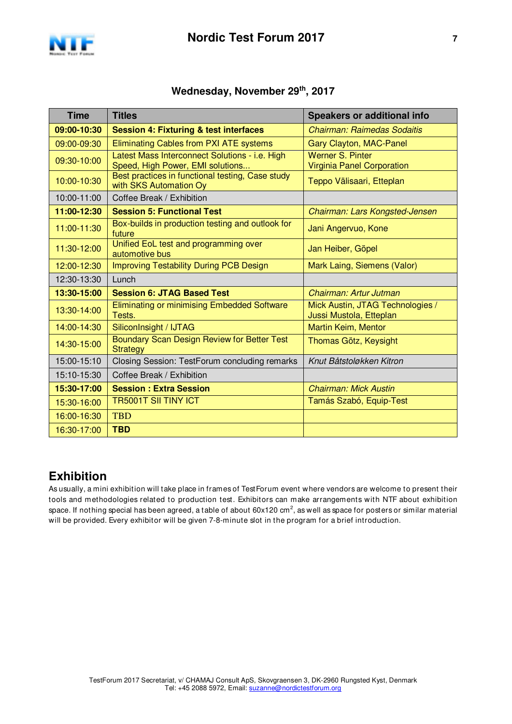

# **Wednesday, November 29th, 2017**

| <b>Time</b> | <b>Titles</b>                                                                      | <b>Speakers or additional info</b>                           |
|-------------|------------------------------------------------------------------------------------|--------------------------------------------------------------|
| 09:00-10:30 | <b>Session 4: Fixturing &amp; test interfaces</b>                                  | <b>Chairman: Raimedas Sodaitis</b>                           |
| 09:00-09:30 | Eliminating Cables from PXI ATE systems                                            | Gary Clayton, MAC-Panel                                      |
| 09:30-10:00 | Latest Mass Interconnect Solutions - i.e. High<br>Speed, High Power, EMI solutions | <b>Werner S. Pinter</b><br><b>Virginia Panel Corporation</b> |
| 10:00-10:30 | Best practices in functional testing, Case study<br>with SKS Automation Oy         | Teppo Välisaari, Etteplan                                    |
| 10:00-11:00 | Coffee Break / Exhibition                                                          |                                                              |
| 11:00-12:30 | <b>Session 5: Functional Test</b>                                                  | Chairman: Lars Kongsted-Jensen                               |
| 11:00-11:30 | Box-builds in production testing and outlook for<br>future                         | Jani Angervuo, Kone                                          |
| 11:30-12:00 | Unified EoL test and programming over<br>automotive bus                            | Jan Heiber, Göpel                                            |
| 12:00-12:30 | Improving Testability During PCB Design                                            | Mark Laing, Siemens (Valor)                                  |
| 12:30-13:30 | Lunch                                                                              |                                                              |
| 13:30-15:00 | <b>Session 6: JTAG Based Test</b>                                                  | Chairman: Artur Jutman                                       |
| 13:30-14:00 | Eliminating or minimising Embedded Software<br>Tests.                              | Mick Austin, JTAG Technologies /<br>Jussi Mustola, Etteplan  |
| 14:00-14:30 | SiliconInsight / IJTAG                                                             | <b>Martin Keim, Mentor</b>                                   |
| 14:30-15:00 | Boundary Scan Design Review for Better Test<br><b>Strategy</b>                     | Thomas Götz, Keysight                                        |
| 15:00-15:10 | Closing Session: TestForum concluding remarks                                      | Knut Båtstoløkken Kitron                                     |
| 15:10-15:30 | Coffee Break / Exhibition                                                          |                                                              |
| 15:30-17:00 | <b>Session: Extra Session</b>                                                      | <b>Chairman: Mick Austin</b>                                 |
| 15:30-16:00 | <b>TR5001T SII TINY ICT</b>                                                        | Tamás Szabó, Equip-Test                                      |
| 16:00-16:30 | <b>TBD</b>                                                                         |                                                              |
| 16:30-17:00 | <b>TBD</b>                                                                         |                                                              |

# **Exhibition**

As usually, a mini exhibition will take place in frames of TestForum event where vendors are welcome to present their tools and methodologies related to production test. Exhibitors can make arrangements with NTF about exhibition space. If nothing special has been agreed, a table of about 60x120 cm $^2$ , as well as space for posters or similar material will be provided. Every exhibitor will be given 7-8-minute slot in the program for a brief introduction.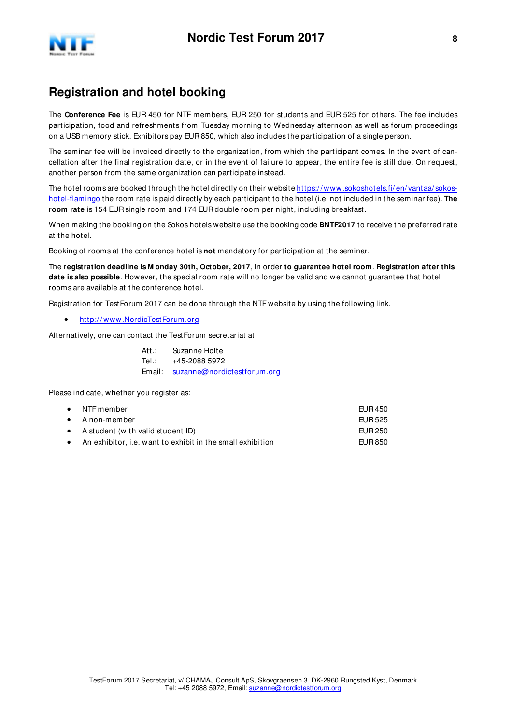

# **Registration and hotel booking**

The **Conference Fee** is EUR 450 for NTF members, EUR 250 for students and EUR 525 for others. The fee includes participation, food and refreshments from Tuesday morning to Wednesday afternoon as well as forum proceedings on a USB memory stick. Exhibitors pay EUR 850, which also includes the participation of a single person.

The seminar fee will be invoiced directly to the organization, from which the participant comes. In the event of cancellation after the final registration date, or in the event of failure to appear, the entire fee is still due. On request, another person from the same organization can participate instead.

The hotel rooms are booked through the hotel directly on their website [https:/ / www.sokoshotels.fi/ en/ vantaa/ sokos](https://www.sokoshotels.fi/en/vantaa/sokos-)hotel-flamingo the room rate is paid directly by each participant to the hotel (i.e. not included in the seminar fee). **The room rate** is 154 EUR single room and 174 EUR double room per night, including breakfast.

When making the booking on the Sokos hotels website use the booking code **BNTF2017** to receive the preferred rate at the hotel.

Booking of rooms at the conference hotel is **not** mandatory for participation at the seminar.

The r**egistration deadline is M onday 30th, October, 2017**, in order **to guarantee hotel room**. **Registration after this date is also possible**. However, the special room rate will no longer be valid and we cannot guarantee that hotel rooms are available at the conference hotel.

Registration for TestForum 2017 can be done through the NTF website by using the following link.

http://www.NordicTestForum.org

Alternatively, one can contact the TestForum secretariat at

Att.: Suzanne Holte Tel.: +45-2088 5972 Email: [suzanne@nordictestforum.org](mailto:suzanne@nordictestforum.org) 

Please indicate, whether you register as:

| $\bullet$ NTF member                                         | EUR 450 |
|--------------------------------------------------------------|---------|
| • A non-member                                               | EUR 525 |
| • A student (with valid student ID)                          | EUR 250 |
| • An exhibitor, i.e. want to exhibit in the small exhibition | EUR 850 |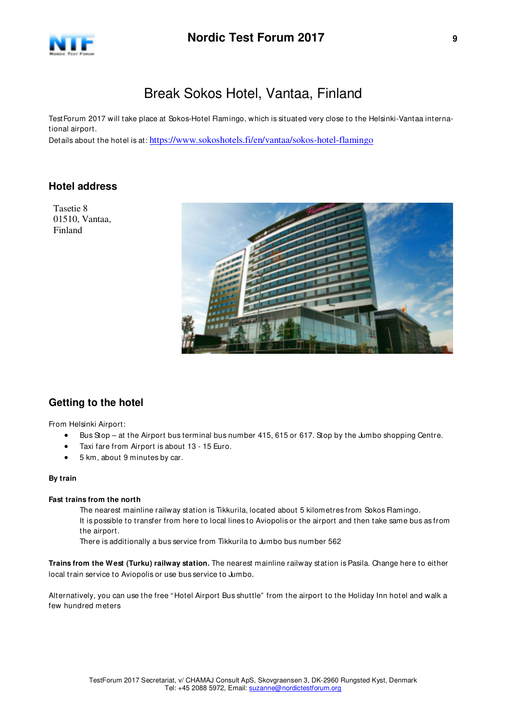

# Break Sokos Hotel, Vantaa, Finland

TestForum 2017 will take place at Sokos-Hotel Flamingo, which is situated very close to the Helsinki-Vantaa international airport.

Details about the hotel is at: <https://www.sokoshotels.fi/en/vantaa/sokos-hotel-flamingo>

### **Hotel address**

Tasetie 8 01510, Vantaa, Finland



# **Getting to the hotel**

From Helsinki Airport:

- Bus Stop at the Airport bus terminal bus number 415, 615 or 617. Stop by the Jumbo shopping Centre.
- Taxi fare from Airport is about 13 15 Euro.
- 5 km, about 9 minutes by car.

#### **By train**

#### **Fast trains from the north**

The nearest mainline railway station is Tikkurila, located about 5 kilometres from Sokos Flamingo.

It is possible to transfer from here to local lines to Aviopolis or the airport and then take same bus as from the airport.

There is additionally a bus service from Tikkurila to Jumbo bus number 562

**Trains from the West (Turku) railway station.** The nearest mainline railway station is Pasila. Change here to either local train service to Aviopolis or use bus service to Jumbo.

Alternatively, you can use the free " Hotel Airport Bus shuttle" from the airport to the Holiday Inn hotel and walk a few hundred meters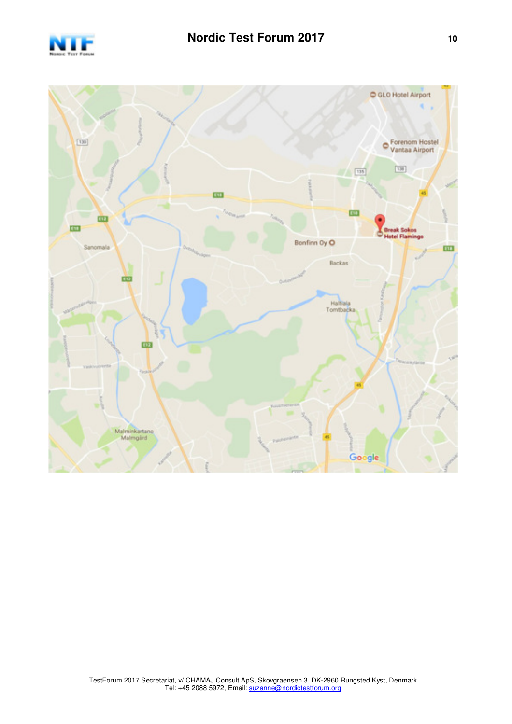